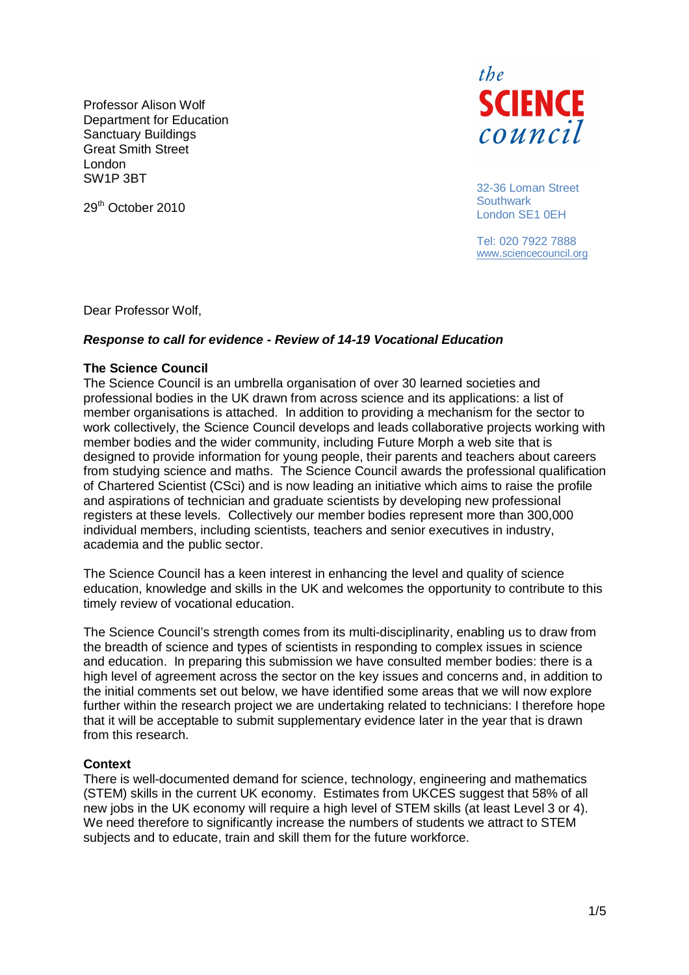Professor Alison Wolf Department for Education Sanctuary Buildings Great Smith Street London SW1P 3BT



32-36 Loman Street Southwark London SE1 0EH

Tel: 020 7922 7888 www.sciencecouncil.org

Dear Professor Wolf,

29<sup>th</sup> October 2010

# **Response to call for evidence - Review of 14-19 Vocational Education**

### **The Science Council**

The Science Council is an umbrella organisation of over 30 learned societies and professional bodies in the UK drawn from across science and its applications: a list of member organisations is attached. In addition to providing a mechanism for the sector to work collectively, the Science Council develops and leads collaborative projects working with member bodies and the wider community, including Future Morph a web site that is designed to provide information for young people, their parents and teachers about careers from studying science and maths. The Science Council awards the professional qualification of Chartered Scientist (CSci) and is now leading an initiative which aims to raise the profile and aspirations of technician and graduate scientists by developing new professional registers at these levels. Collectively our member bodies represent more than 300,000 individual members, including scientists, teachers and senior executives in industry, academia and the public sector.

The Science Council has a keen interest in enhancing the level and quality of science education, knowledge and skills in the UK and welcomes the opportunity to contribute to this timely review of vocational education.

The Science Council's strength comes from its multi-disciplinarity, enabling us to draw from the breadth of science and types of scientists in responding to complex issues in science and education. In preparing this submission we have consulted member bodies: there is a high level of agreement across the sector on the key issues and concerns and, in addition to the initial comments set out below, we have identified some areas that we will now explore further within the research project we are undertaking related to technicians: I therefore hope that it will be acceptable to submit supplementary evidence later in the year that is drawn from this research.

### **Context**

There is well-documented demand for science, technology, engineering and mathematics (STEM) skills in the current UK economy. Estimates from UKCES suggest that 58% of all new jobs in the UK economy will require a high level of STEM skills (at least Level 3 or 4). We need therefore to significantly increase the numbers of students we attract to STEM subjects and to educate, train and skill them for the future workforce.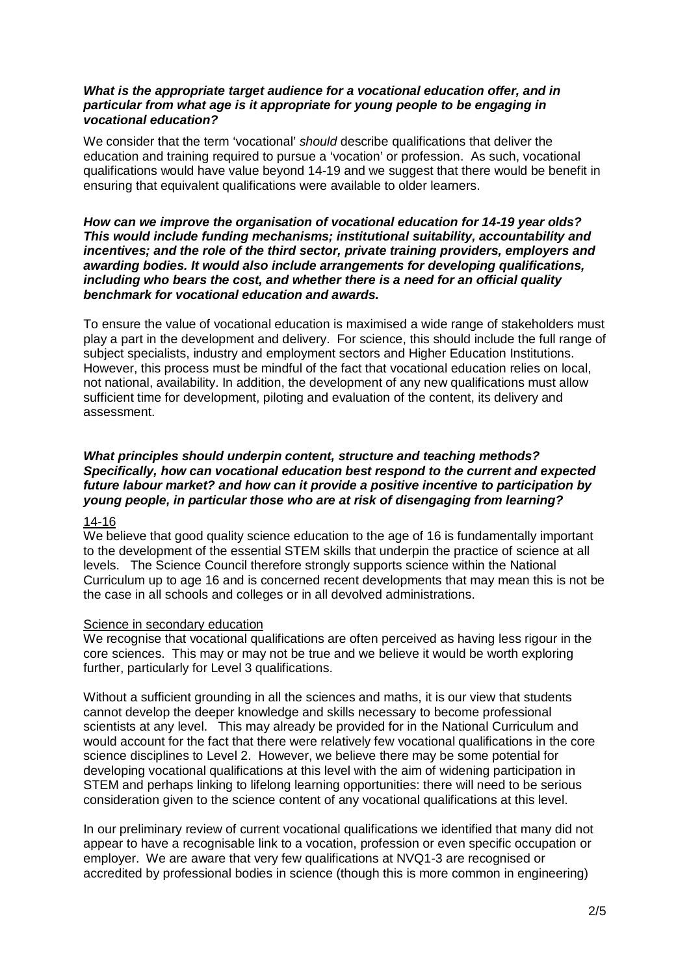# **What is the appropriate target audience for a vocational education offer, and in particular from what age is it appropriate for young people to be engaging in vocational education?**

We consider that the term 'vocational' should describe qualifications that deliver the education and training required to pursue a 'vocation' or profession. As such, vocational qualifications would have value beyond 14-19 and we suggest that there would be benefit in ensuring that equivalent qualifications were available to older learners.

### **How can we improve the organisation of vocational education for 14-19 year olds? This would include funding mechanisms; institutional suitability, accountability and incentives; and the role of the third sector, private training providers, employers and awarding bodies. It would also include arrangements for developing qualifications, including who bears the cost, and whether there is a need for an official quality benchmark for vocational education and awards.**

To ensure the value of vocational education is maximised a wide range of stakeholders must play a part in the development and delivery. For science, this should include the full range of subject specialists, industry and employment sectors and Higher Education Institutions. However, this process must be mindful of the fact that vocational education relies on local, not national, availability. In addition, the development of any new qualifications must allow sufficient time for development, piloting and evaluation of the content, its delivery and assessment.

# **What principles should underpin content, structure and teaching methods? Specifically, how can vocational education best respond to the current and expected future labour market? and how can it provide a positive incentive to participation by young people, in particular those who are at risk of disengaging from learning?**

# 14-16

We believe that good quality science education to the age of 16 is fundamentally important to the development of the essential STEM skills that underpin the practice of science at all levels. The Science Council therefore strongly supports science within the National Curriculum up to age 16 and is concerned recent developments that may mean this is not be the case in all schools and colleges or in all devolved administrations.

# Science in secondary education

We recognise that vocational qualifications are often perceived as having less rigour in the core sciences. This may or may not be true and we believe it would be worth exploring further, particularly for Level 3 qualifications.

Without a sufficient grounding in all the sciences and maths, it is our view that students cannot develop the deeper knowledge and skills necessary to become professional scientists at any level. This may already be provided for in the National Curriculum and would account for the fact that there were relatively few vocational qualifications in the core science disciplines to Level 2. However, we believe there may be some potential for developing vocational qualifications at this level with the aim of widening participation in STEM and perhaps linking to lifelong learning opportunities: there will need to be serious consideration given to the science content of any vocational qualifications at this level.

In our preliminary review of current vocational qualifications we identified that many did not appear to have a recognisable link to a vocation, profession or even specific occupation or employer. We are aware that very few qualifications at NVQ1-3 are recognised or accredited by professional bodies in science (though this is more common in engineering)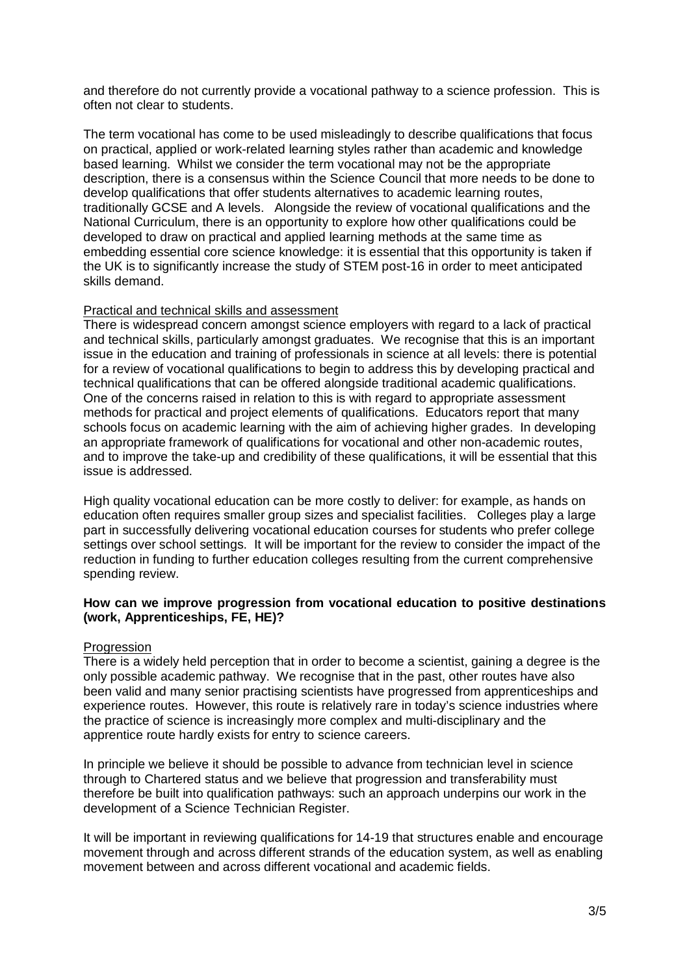and therefore do not currently provide a vocational pathway to a science profession. This is often not clear to students.

The term vocational has come to be used misleadingly to describe qualifications that focus on practical, applied or work-related learning styles rather than academic and knowledge based learning. Whilst we consider the term vocational may not be the appropriate description, there is a consensus within the Science Council that more needs to be done to develop qualifications that offer students alternatives to academic learning routes, traditionally GCSE and A levels. Alongside the review of vocational qualifications and the National Curriculum, there is an opportunity to explore how other qualifications could be developed to draw on practical and applied learning methods at the same time as embedding essential core science knowledge: it is essential that this opportunity is taken if the UK is to significantly increase the study of STEM post-16 in order to meet anticipated skills demand.

# Practical and technical skills and assessment

There is widespread concern amongst science employers with regard to a lack of practical and technical skills, particularly amongst graduates. We recognise that this is an important issue in the education and training of professionals in science at all levels: there is potential for a review of vocational qualifications to begin to address this by developing practical and technical qualifications that can be offered alongside traditional academic qualifications. One of the concerns raised in relation to this is with regard to appropriate assessment methods for practical and project elements of qualifications. Educators report that many schools focus on academic learning with the aim of achieving higher grades. In developing an appropriate framework of qualifications for vocational and other non-academic routes, and to improve the take-up and credibility of these qualifications, it will be essential that this issue is addressed.

High quality vocational education can be more costly to deliver: for example, as hands on education often requires smaller group sizes and specialist facilities. Colleges play a large part in successfully delivering vocational education courses for students who prefer college settings over school settings. It will be important for the review to consider the impact of the reduction in funding to further education colleges resulting from the current comprehensive spending review.

## **How can we improve progression from vocational education to positive destinations (work, Apprenticeships, FE, HE)?**

### Progression

There is a widely held perception that in order to become a scientist, gaining a degree is the only possible academic pathway. We recognise that in the past, other routes have also been valid and many senior practising scientists have progressed from apprenticeships and experience routes. However, this route is relatively rare in today's science industries where the practice of science is increasingly more complex and multi-disciplinary and the apprentice route hardly exists for entry to science careers.

In principle we believe it should be possible to advance from technician level in science through to Chartered status and we believe that progression and transferability must therefore be built into qualification pathways: such an approach underpins our work in the development of a Science Technician Register.

It will be important in reviewing qualifications for 14-19 that structures enable and encourage movement through and across different strands of the education system, as well as enabling movement between and across different vocational and academic fields.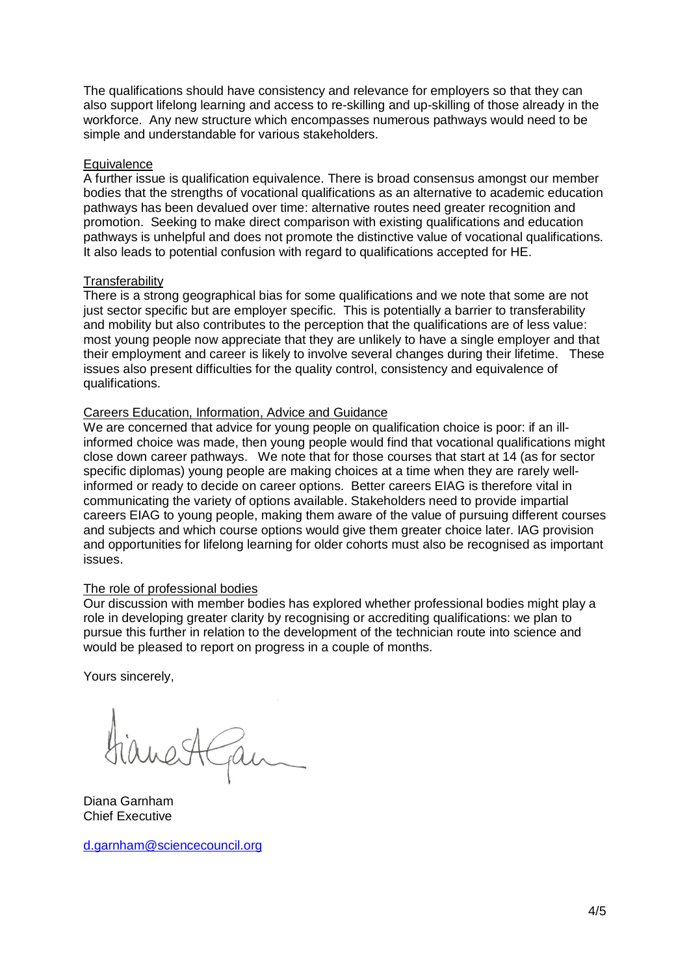The qualifications should have consistency and relevance for employers so that they can also support lifelong learning and access to re-skilling and up-skilling of those already in the workforce. Any new structure which encompasses numerous pathways would need to be simple and understandable for various stakeholders.

## **Equivalence**

A further issue is qualification equivalence. There is broad consensus amongst our member bodies that the strengths of vocational qualifications as an alternative to academic education pathways has been devalued over time: alternative routes need greater recognition and promotion. Seeking to make direct comparison with existing qualifications and education pathways is unhelpful and does not promote the distinctive value of vocational qualifications. It also leads to potential confusion with regard to qualifications accepted for HE.

## **Transferability**

There is a strong geographical bias for some qualifications and we note that some are not just sector specific but are employer specific. This is potentially a barrier to transferability and mobility but also contributes to the perception that the qualifications are of less value: most young people now appreciate that they are unlikely to have a single employer and that their employment and career is likely to involve several changes during their lifetime. These issues also present difficulties for the quality control, consistency and equivalence of qualifications.

## Careers Education, Information, Advice and Guidance

We are concerned that advice for young people on qualification choice is poor: if an illinformed choice was made, then young people would find that vocational qualifications might close down career pathways. We note that for those courses that start at 14 (as for sector specific diplomas) young people are making choices at a time when they are rarely wellinformed or ready to decide on career options. Better careers EIAG is therefore vital in communicating the variety of options available. Stakeholders need to provide impartial careers EIAG to young people, making them aware of the value of pursuing different courses and subjects and which course options would give them greater choice later. IAG provision and opportunities for lifelong learning for older cohorts must also be recognised as important issues.

### The role of professional bodies

Our discussion with member bodies has explored whether professional bodies might play a role in developing greater clarity by recognising or accrediting qualifications: we plan to pursue this further in relation to the development of the technician route into science and would be pleased to report on progress in a couple of months.

Yours sincerely,

Diana Garnham Chief Executive

d.garnham@sciencecouncil.org